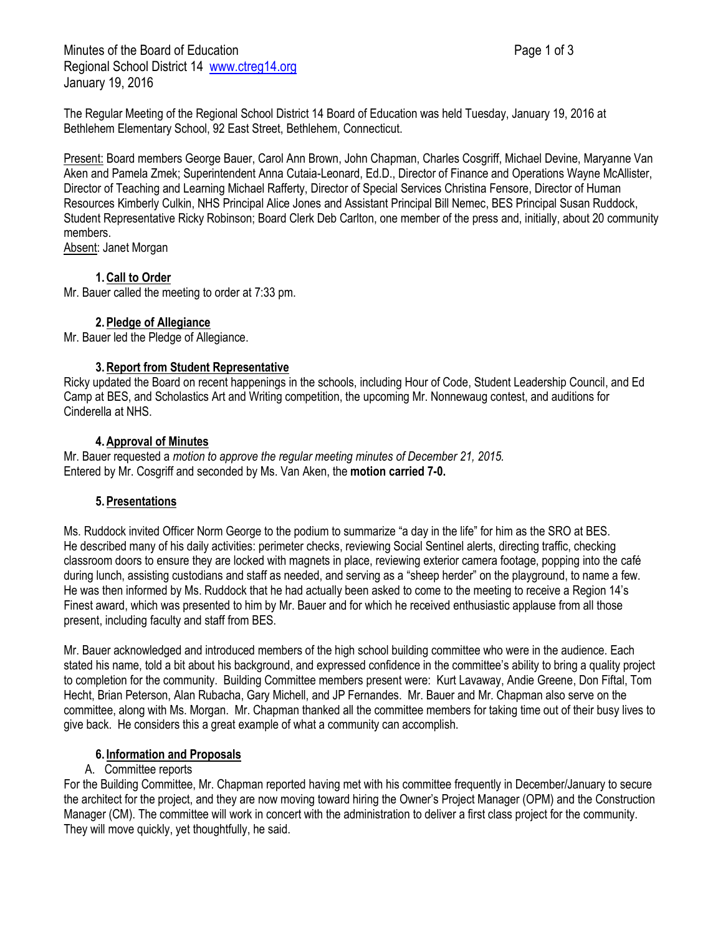Minutes of the Board of Education **Page 1 of 3** Page 1 of 3 Regional School District 14 [www.ctreg14.org](http://www.ctreg14.org/) January 19, 2016

The Regular Meeting of the Regional School District 14 Board of Education was held Tuesday, January 19, 2016 at Bethlehem Elementary School, 92 East Street, Bethlehem, Connecticut.

Present: Board members George Bauer, Carol Ann Brown, John Chapman, Charles Cosgriff, Michael Devine, Maryanne Van Aken and Pamela Zmek; Superintendent Anna Cutaia-Leonard, Ed.D., Director of Finance and Operations Wayne McAllister, Director of Teaching and Learning Michael Rafferty, Director of Special Services Christina Fensore, Director of Human Resources Kimberly Culkin, NHS Principal Alice Jones and Assistant Principal Bill Nemec, BES Principal Susan Ruddock, Student Representative Ricky Robinson; Board Clerk Deb Carlton, one member of the press and, initially, about 20 community members.

Absent: Janet Morgan

# **1.Call to Order**

Mr. Bauer called the meeting to order at 7:33 pm.

## **2.Pledge of Allegiance**

Mr. Bauer led the Pledge of Allegiance.

## **3.Report from Student Representative**

Ricky updated the Board on recent happenings in the schools, including Hour of Code, Student Leadership Council, and Ed Camp at BES, and Scholastics Art and Writing competition, the upcoming Mr. Nonnewaug contest, and auditions for Cinderella at NHS.

## **4.Approval of Minutes**

Mr. Bauer requested a *motion to approve the regular meeting minutes of December 21, 2015.* Entered by Mr. Cosgriff and seconded by Ms. Van Aken, the **motion carried 7-0.**

#### **5.Presentations**

Ms. Ruddock invited Officer Norm George to the podium to summarize "a day in the life" for him as the SRO at BES. He described many of his daily activities: perimeter checks, reviewing Social Sentinel alerts, directing traffic, checking classroom doors to ensure they are locked with magnets in place, reviewing exterior camera footage, popping into the café during lunch, assisting custodians and staff as needed, and serving as a "sheep herder" on the playground, to name a few. He was then informed by Ms. Ruddock that he had actually been asked to come to the meeting to receive a Region 14's Finest award, which was presented to him by Mr. Bauer and for which he received enthusiastic applause from all those present, including faculty and staff from BES.

Mr. Bauer acknowledged and introduced members of the high school building committee who were in the audience. Each stated his name, told a bit about his background, and expressed confidence in the committee's ability to bring a quality project to completion for the community. Building Committee members present were: Kurt Lavaway, Andie Greene, Don Fiftal, Tom Hecht, Brian Peterson, Alan Rubacha, Gary Michell, and JP Fernandes. Mr. Bauer and Mr. Chapman also serve on the committee, along with Ms. Morgan. Mr. Chapman thanked all the committee members for taking time out of their busy lives to give back. He considers this a great example of what a community can accomplish.

# **6. Information and Proposals**

#### A. Committee reports

For the Building Committee, Mr. Chapman reported having met with his committee frequently in December/January to secure the architect for the project, and they are now moving toward hiring the Owner's Project Manager (OPM) and the Construction Manager (CM). The committee will work in concert with the administration to deliver a first class project for the community. They will move quickly, yet thoughtfully, he said.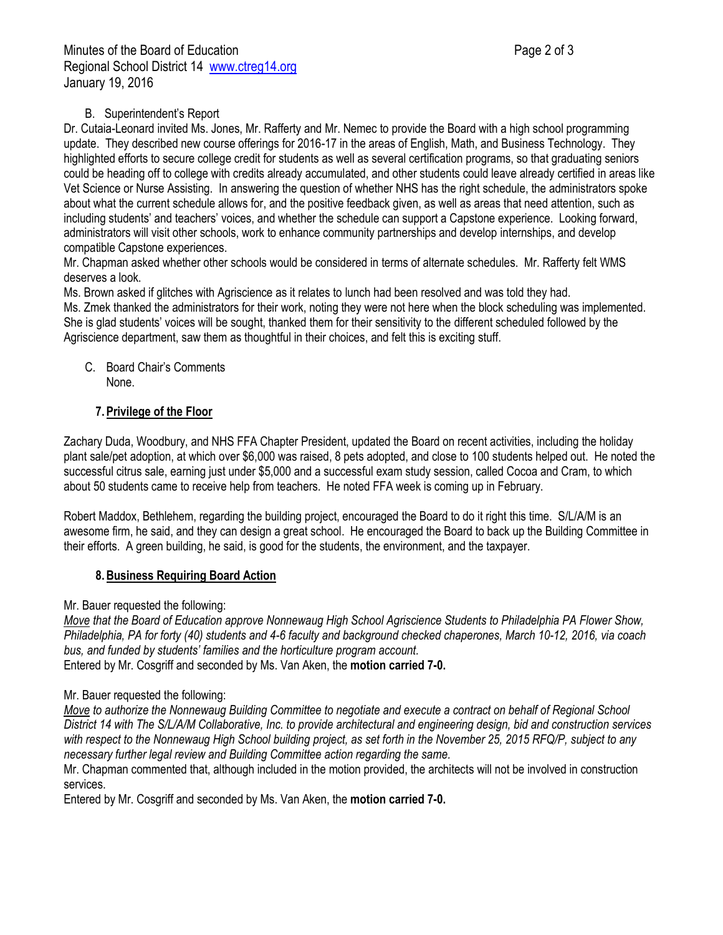Minutes of the Board of Education **Page 2 of 3** and 2 of 3 Regional School District 14 [www.ctreg14.org](http://www.ctreg14.org/) January 19, 2016

B. Superintendent's Report

Dr. Cutaia-Leonard invited Ms. Jones, Mr. Rafferty and Mr. Nemec to provide the Board with a high school programming update. They described new course offerings for 2016-17 in the areas of English, Math, and Business Technology. They highlighted efforts to secure college credit for students as well as several certification programs, so that graduating seniors could be heading off to college with credits already accumulated, and other students could leave already certified in areas like Vet Science or Nurse Assisting. In answering the question of whether NHS has the right schedule, the administrators spoke about what the current schedule allows for, and the positive feedback given, as well as areas that need attention, such as including students' and teachers' voices, and whether the schedule can support a Capstone experience. Looking forward, administrators will visit other schools, work to enhance community partnerships and develop internships, and develop compatible Capstone experiences.

Mr. Chapman asked whether other schools would be considered in terms of alternate schedules. Mr. Rafferty felt WMS deserves a look.

Ms. Brown asked if glitches with Agriscience as it relates to lunch had been resolved and was told they had.

Ms. Zmek thanked the administrators for their work, noting they were not here when the block scheduling was implemented. She is glad students' voices will be sought, thanked them for their sensitivity to the different scheduled followed by the Agriscience department, saw them as thoughtful in their choices, and felt this is exciting stuff.

C. Board Chair's Comments None.

# **7.Privilege of the Floor**

Zachary Duda, Woodbury, and NHS FFA Chapter President, updated the Board on recent activities, including the holiday plant sale/pet adoption, at which over \$6,000 was raised, 8 pets adopted, and close to 100 students helped out. He noted the successful citrus sale, earning just under \$5,000 and a successful exam study session, called Cocoa and Cram, to which about 50 students came to receive help from teachers. He noted FFA week is coming up in February.

Robert Maddox, Bethlehem, regarding the building project, encouraged the Board to do it right this time. S/L/A/M is an awesome firm, he said, and they can design a great school. He encouraged the Board to back up the Building Committee in their efforts. A green building, he said, is good for the students, the environment, and the taxpayer.

# **8.Business Requiring Board Action**

Mr. Bauer requested the following:

*Move that the Board of Education approve Nonnewaug High School Agriscience Students to Philadelphia PA Flower Show, Philadelphia, PA for forty (40) students and 4-6 faculty and background checked chaperones, March 10-12, 2016, via coach bus, and funded by students' families and the horticulture program account.*  Entered by Mr. Cosgriff and seconded by Ms. Van Aken, the **motion carried 7-0.**

# Mr. Bauer requested the following:

*Move to authorize the Nonnewaug Building Committee to negotiate and execute a contract on behalf of Regional School District 14 with The S/L/A/M Collaborative, Inc. to provide architectural and engineering design, bid and construction services with respect to the Nonnewaug High School building project, as set forth in the November 25, 2015 RFQ/P, subject to any necessary further legal review and Building Committee action regarding the same.*

Mr. Chapman commented that, although included in the motion provided, the architects will not be involved in construction services.

Entered by Mr. Cosgriff and seconded by Ms. Van Aken, the **motion carried 7-0.**